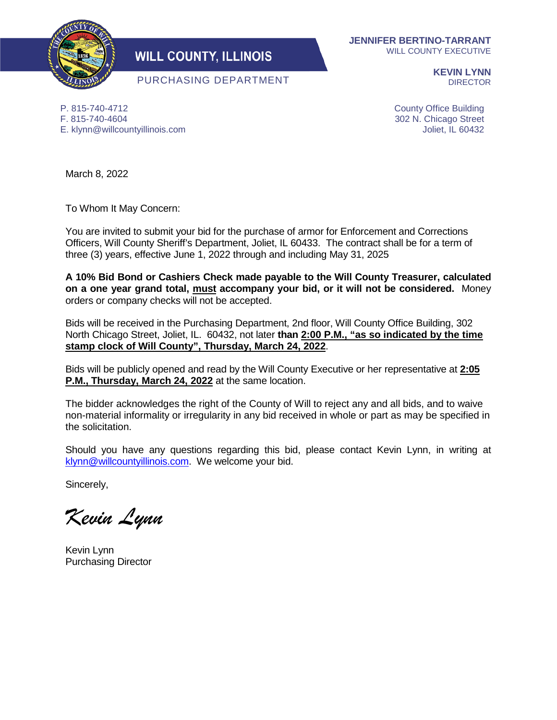

## **WILL COUNTY, ILLINOIS**

PURCHASING DEPARTMENT

**JENNIFER BERTINO-TARRANT** WILL COUNTY EXECUTIVE

> **KEVIN LYNN** DIRECTOR

P. 815-740-4712 F. 815-740-4604 E. klynn@willcountyillinois.com County Office Building 302 N. Chicago Street Joliet, IL 60432

March 8, 2022

To Whom It May Concern:

You are invited to submit your bid for the purchase of armor for Enforcement and Corrections Officers, Will County Sheriff's Department, Joliet, IL 60433. The contract shall be for a term of three (3) years, effective June 1, 2022 through and including May 31, 2025

**A 10% Bid Bond or Cashiers Check made payable to the Will County Treasurer, calculated on a one year grand total, must accompany your bid, or it will not be considered.** Money orders or company checks will not be accepted.

Bids will be received in the Purchasing Department, 2nd floor, Will County Office Building, 302 North Chicago Street, Joliet, IL. 60432, not later **than 2:00 P.M., "as so indicated by the time stamp clock of Will County", Thursday, March 24, 2022**.

Bids will be publicly opened and read by the Will County Executive or her representative at **2:05 P.M., Thursday, March 24, 2022** at the same location.

The bidder acknowledges the right of the County of Will to reject any and all bids, and to waive non-material informality or irregularity in any bid received in whole or part as may be specified in the solicitation.

Should you have any questions regarding this bid, please contact Kevin Lynn, in writing at [klynn@willcountyillinois.com.](mailto:klynn@willcountyillinois.com) We welcome your bid.

Sincerely,

*Kevin Lynn*

Kevin Lynn Purchasing Director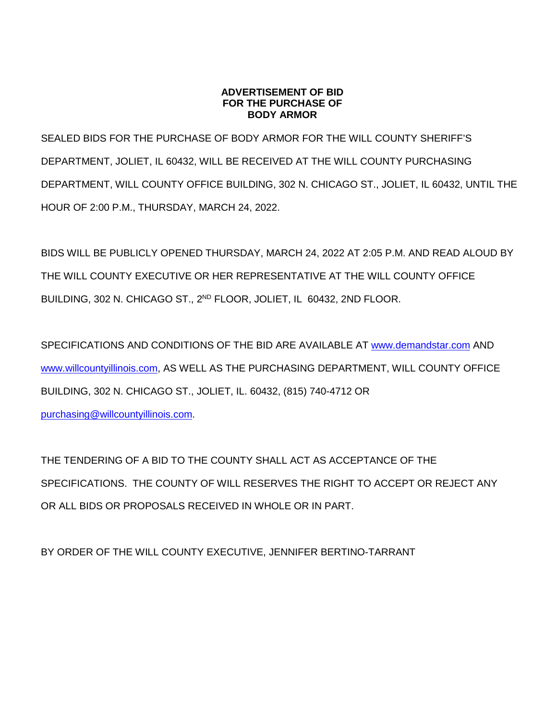#### **ADVERTISEMENT OF BID FOR THE PURCHASE OF BODY ARMOR**

SEALED BIDS FOR THE PURCHASE OF BODY ARMOR FOR THE WILL COUNTY SHERIFF'S DEPARTMENT, JOLIET, IL 60432, WILL BE RECEIVED AT THE WILL COUNTY PURCHASING DEPARTMENT, WILL COUNTY OFFICE BUILDING, 302 N. CHICAGO ST., JOLIET, IL 60432, UNTIL THE HOUR OF 2:00 P.M., THURSDAY, MARCH 24, 2022.

BIDS WILL BE PUBLICLY OPENED THURSDAY, MARCH 24, 2022 AT 2:05 P.M. AND READ ALOUD BY THE WILL COUNTY EXECUTIVE OR HER REPRESENTATIVE AT THE WILL COUNTY OFFICE BUILDING, 302 N. CHICAGO ST., 2<sup>ND</sup> FLOOR, JOLIET, IL 60432, 2ND FLOOR.

SPECIFICATIONS AND CONDITIONS OF THE BID ARE AVAILABLE AT [www.demandstar.com](http://www.demandstar.com/) AND [www.willcountyillinois.com,](http://www.willcountyillinois.com/) AS WELL AS THE PURCHASING DEPARTMENT, WILL COUNTY OFFICE BUILDING, 302 N. CHICAGO ST., JOLIET, IL. 60432, (815) 740-4712 OR

[purchasing@willcountyillinois.com.](mailto:purchasing@willcountyillinois.com)

THE TENDERING OF A BID TO THE COUNTY SHALL ACT AS ACCEPTANCE OF THE SPECIFICATIONS. THE COUNTY OF WILL RESERVES THE RIGHT TO ACCEPT OR REJECT ANY OR ALL BIDS OR PROPOSALS RECEIVED IN WHOLE OR IN PART.

BY ORDER OF THE WILL COUNTY EXECUTIVE, JENNIFER BERTINO-TARRANT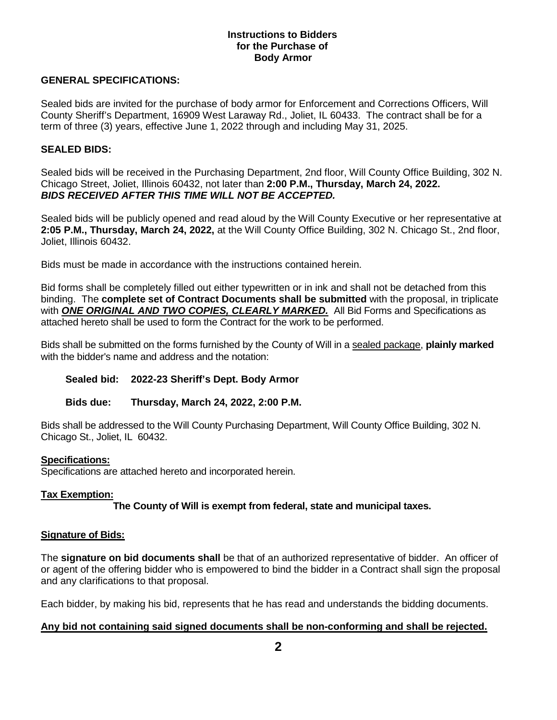#### **Instructions to Bidders for the Purchase of Body Armor**

#### **GENERAL SPECIFICATIONS:**

Sealed bids are invited for the purchase of body armor for Enforcement and Corrections Officers, Will County Sheriff's Department, 16909 West Laraway Rd., Joliet, IL 60433. The contract shall be for a term of three (3) years, effective June 1, 2022 through and including May 31, 2025.

#### **SEALED BIDS:**

Sealed bids will be received in the Purchasing Department, 2nd floor, Will County Office Building, 302 N. Chicago Street, Joliet, Illinois 60432, not later than **2:00 P.M., Thursday, March 24, 2022.** *BIDS RECEIVED AFTER THIS TIME WILL NOT BE ACCEPTED.*

Sealed bids will be publicly opened and read aloud by the Will County Executive or her representative at **2:05 P.M., Thursday, March 24, 2022,** at the Will County Office Building, 302 N. Chicago St., 2nd floor, Joliet, Illinois 60432.

Bids must be made in accordance with the instructions contained herein.

Bid forms shall be completely filled out either typewritten or in ink and shall not be detached from this binding. The **complete set of Contract Documents shall be submitted** with the proposal, in triplicate with *ONE ORIGINAL AND TWO COPIES, CLEARLY MARKED.* All Bid Forms and Specifications as attached hereto shall be used to form the Contract for the work to be performed.

Bids shall be submitted on the forms furnished by the County of Will in a sealed package, **plainly marked**  with the bidder's name and address and the notation:

## **Sealed bid: 2022-23 Sheriff's Dept. Body Armor**

**Bids due: Thursday, March 24, 2022, 2:00 P.M.**

Bids shall be addressed to the Will County Purchasing Department, Will County Office Building, 302 N. Chicago St., Joliet, IL 60432.

#### **Specifications:**

Specifications are attached hereto and incorporated herein.

## **Tax Exemption:**

**The County of Will is exempt from federal, state and municipal taxes.**

#### **Signature of Bids:**

The **signature on bid documents shall** be that of an authorized representative of bidder. An officer of or agent of the offering bidder who is empowered to bind the bidder in a Contract shall sign the proposal and any clarifications to that proposal.

Each bidder, by making his bid, represents that he has read and understands the bidding documents.

## **Any bid not containing said signed documents shall be non-conforming and shall be rejected.**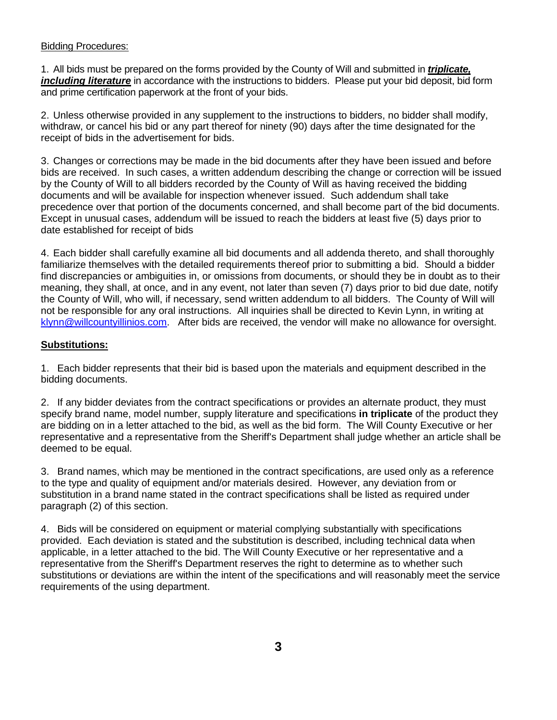#### Bidding Procedures:

1. All bids must be prepared on the forms provided by the County of Will and submitted in *triplicate, including literature* in accordance with the instructions to bidders. Please put your bid deposit, bid form and prime certification paperwork at the front of your bids.

2. Unless otherwise provided in any supplement to the instructions to bidders, no bidder shall modify, withdraw, or cancel his bid or any part thereof for ninety (90) days after the time designated for the receipt of bids in the advertisement for bids.

3. Changes or corrections may be made in the bid documents after they have been issued and before bids are received. In such cases, a written addendum describing the change or correction will be issued by the County of Will to all bidders recorded by the County of Will as having received the bidding documents and will be available for inspection whenever issued. Such addendum shall take precedence over that portion of the documents concerned, and shall become part of the bid documents. Except in unusual cases, addendum will be issued to reach the bidders at least five (5) days prior to date established for receipt of bids

4. Each bidder shall carefully examine all bid documents and all addenda thereto, and shall thoroughly familiarize themselves with the detailed requirements thereof prior to submitting a bid. Should a bidder find discrepancies or ambiguities in, or omissions from documents, or should they be in doubt as to their meaning, they shall, at once, and in any event, not later than seven (7) days prior to bid due date, notify the County of Will, who will, if necessary, send written addendum to all bidders. The County of Will will not be responsible for any oral instructions. All inquiries shall be directed to Kevin Lynn, in writing at [klynn@willcountyillinios.com.](mailto:klynn@willcountyillinios.com) After bids are received, the vendor will make no allowance for oversight.

## **Substitutions:**

1. Each bidder represents that their bid is based upon the materials and equipment described in the bidding documents.

2. If any bidder deviates from the contract specifications or provides an alternate product, they must specify brand name, model number, supply literature and specifications **in triplicate** of the product they are bidding on in a letter attached to the bid, as well as the bid form. The Will County Executive or her representative and a representative from the Sheriff's Department shall judge whether an article shall be deemed to be equal.

3. Brand names, which may be mentioned in the contract specifications, are used only as a reference to the type and quality of equipment and/or materials desired. However, any deviation from or substitution in a brand name stated in the contract specifications shall be listed as required under paragraph (2) of this section.

4. Bids will be considered on equipment or material complying substantially with specifications provided. Each deviation is stated and the substitution is described, including technical data when applicable, in a letter attached to the bid. The Will County Executive or her representative and a representative from the Sheriff's Department reserves the right to determine as to whether such substitutions or deviations are within the intent of the specifications and will reasonably meet the service requirements of the using department.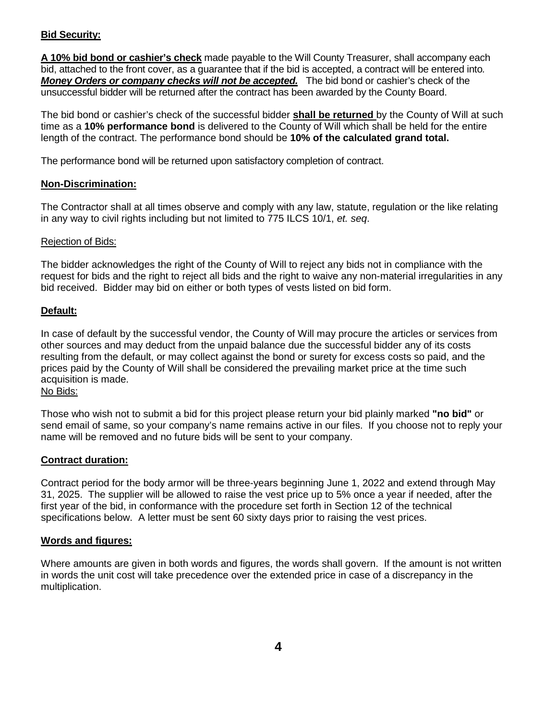## **Bid Security:**

**A 10% bid bond or cashier's check** made payable to the Will County Treasurer, shall accompany each bid, attached to the front cover, as a guarantee that if the bid is accepted, a contract will be entered into*. Money Orders or company checks will not be accepted.* The bid bond or cashier's check of the unsuccessful bidder will be returned after the contract has been awarded by the County Board.

The bid bond or cashier's check of the successful bidder **shall be returned** by the County of Will at such time as a **10% performance bond** is delivered to the County of Will which shall be held for the entire length of the contract. The performance bond should be **10% of the calculated grand total.**

The performance bond will be returned upon satisfactory completion of contract.

## **Non-Discrimination:**

The Contractor shall at all times observe and comply with any law, statute, regulation or the like relating in any way to civil rights including but not limited to 775 ILCS 10/1, *et. seq*.

#### Rejection of Bids:

The bidder acknowledges the right of the County of Will to reject any bids not in compliance with the request for bids and the right to reject all bids and the right to waive any non-material irregularities in any bid received. Bidder may bid on either or both types of vests listed on bid form.

## **Default:**

In case of default by the successful vendor, the County of Will may procure the articles or services from other sources and may deduct from the unpaid balance due the successful bidder any of its costs resulting from the default, or may collect against the bond or surety for excess costs so paid, and the prices paid by the County of Will shall be considered the prevailing market price at the time such acquisition is made.

## No Bids:

Those who wish not to submit a bid for this project please return your bid plainly marked **"no bid"** or send email of same, so your company's name remains active in our files. If you choose not to reply your name will be removed and no future bids will be sent to your company.

## **Contract duration:**

Contract period for the body armor will be three-years beginning June 1, 2022 and extend through May 31, 2025. The supplier will be allowed to raise the vest price up to 5% once a year if needed, after the first year of the bid, in conformance with the procedure set forth in Section 12 of the technical specifications below. A letter must be sent 60 sixty days prior to raising the vest prices.

## **Words and figures:**

Where amounts are given in both words and figures, the words shall govern. If the amount is not written in words the unit cost will take precedence over the extended price in case of a discrepancy in the multiplication.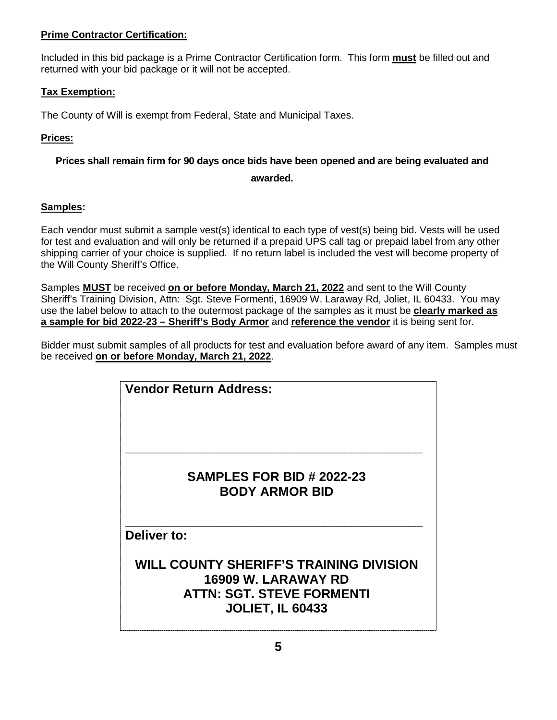## **Prime Contractor Certification:**

Included in this bid package is a Prime Contractor Certification form. This form **must** be filled out and returned with your bid package or it will not be accepted.

## **Tax Exemption:**

The County of Will is exempt from Federal, State and Municipal Taxes.

## **Prices:**

## **Prices shall remain firm for 90 days once bids have been opened and are being evaluated and**

#### **awarded.**

## **Samples:**

Each vendor must submit a sample vest(s) identical to each type of vest(s) being bid. Vests will be used for test and evaluation and will only be returned if a prepaid UPS call tag or prepaid label from any other shipping carrier of your choice is supplied. If no return label is included the vest will become property of the Will County Sheriff's Office.

Samples **MUST** be received **on or before Monday, March 21, 2022** and sent to the Will County Sheriff's Training Division, Attn: Sgt. Steve Formenti, 16909 W. Laraway Rd, Joliet, IL 60433. You may use the label below to attach to the outermost package of the samples as it must be **clearly marked as a sample for bid 2022-23 – Sheriff's Body Armor** and **reference the vendor** it is being sent for.

Bidder must submit samples of all products for test and evaluation before award of any item. Samples must be received **on or before Monday, March 21, 2022**.

| <b>Vendor Return Address:</b>                                         |
|-----------------------------------------------------------------------|
|                                                                       |
| <b>SAMPLES FOR BID # 2022-23</b><br><b>BODY ARMOR BID</b>             |
| Deliver to:                                                           |
| <b>WILL COUNTY SHERIFF'S TRAINING DIVISION</b><br>16909 W. LARAWAY RD |
| <b>ATTN: SGT. STEVE FORMENTI</b><br><b>JOLIET, IL 60433</b>           |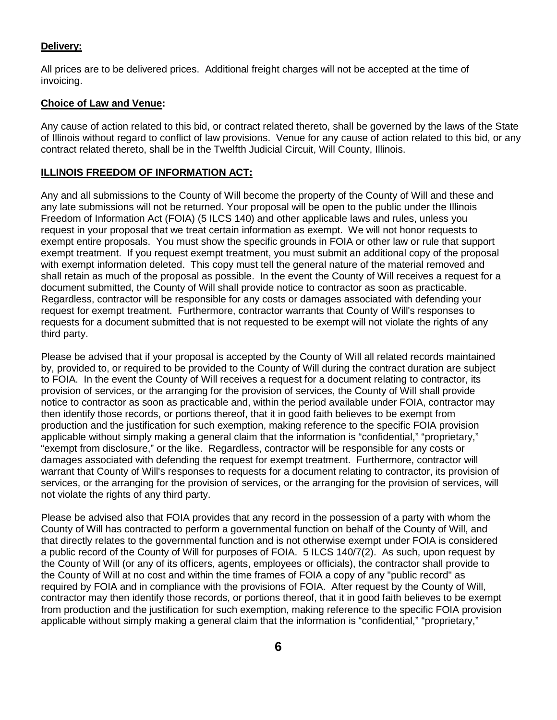#### **Delivery:**

All prices are to be delivered prices. Additional freight charges will not be accepted at the time of invoicing.

#### **Choice of Law and Venue:**

Any cause of action related to this bid, or contract related thereto, shall be governed by the laws of the State of Illinois without regard to conflict of law provisions. Venue for any cause of action related to this bid, or any contract related thereto, shall be in the Twelfth Judicial Circuit, Will County, Illinois.

#### **ILLINOIS FREEDOM OF INFORMATION ACT:**

Any and all submissions to the County of Will become the property of the County of Will and these and any late submissions will not be returned. Your proposal will be open to the public under the Illinois Freedom of Information Act (FOIA) (5 ILCS 140) and other applicable laws and rules, unless you request in your proposal that we treat certain information as exempt. We will not honor requests to exempt entire proposals. You must show the specific grounds in FOIA or other law or rule that support exempt treatment. If you request exempt treatment, you must submit an additional copy of the proposal with exempt information deleted. This copy must tell the general nature of the material removed and shall retain as much of the proposal as possible. In the event the County of Will receives a request for a document submitted, the County of Will shall provide notice to contractor as soon as practicable. Regardless, contractor will be responsible for any costs or damages associated with defending your request for exempt treatment. Furthermore, contractor warrants that County of Will's responses to requests for a document submitted that is not requested to be exempt will not violate the rights of any third party.

Please be advised that if your proposal is accepted by the County of Will all related records maintained by, provided to, or required to be provided to the County of Will during the contract duration are subject to FOIA. In the event the County of Will receives a request for a document relating to contractor, its provision of services, or the arranging for the provision of services, the County of Will shall provide notice to contractor as soon as practicable and, within the period available under FOIA, contractor may then identify those records, or portions thereof, that it in good faith believes to be exempt from production and the justification for such exemption, making reference to the specific FOIA provision applicable without simply making a general claim that the information is "confidential," "proprietary," "exempt from disclosure," or the like. Regardless, contractor will be responsible for any costs or damages associated with defending the request for exempt treatment. Furthermore, contractor will warrant that County of Will's responses to requests for a document relating to contractor, its provision of services, or the arranging for the provision of services, or the arranging for the provision of services, will not violate the rights of any third party.

Please be advised also that FOIA provides that any record in the possession of a party with whom the County of Will has contracted to perform a governmental function on behalf of the County of Will, and that directly relates to the governmental function and is not otherwise exempt under FOIA is considered a public record of the County of Will for purposes of FOIA. 5 ILCS 140/7(2). As such, upon request by the County of Will (or any of its officers, agents, employees or officials), the contractor shall provide to the County of Will at no cost and within the time frames of FOIA a copy of any "public record" as required by FOIA and in compliance with the provisions of FOIA. After request by the County of Will, contractor may then identify those records, or portions thereof, that it in good faith believes to be exempt from production and the justification for such exemption, making reference to the specific FOIA provision applicable without simply making a general claim that the information is "confidential," "proprietary,"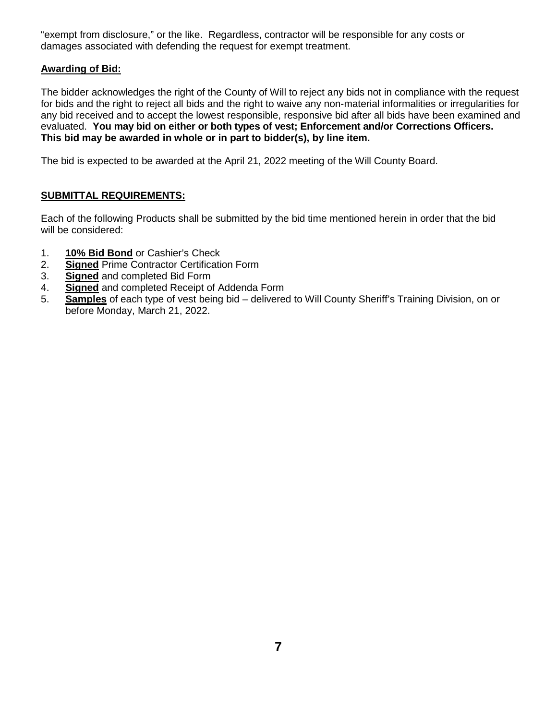"exempt from disclosure," or the like. Regardless, contractor will be responsible for any costs or damages associated with defending the request for exempt treatment.

#### **Awarding of Bid:**

The bidder acknowledges the right of the County of Will to reject any bids not in compliance with the request for bids and the right to reject all bids and the right to waive any non-material informalities or irregularities for any bid received and to accept the lowest responsible, responsive bid after all bids have been examined and evaluated. **You may bid on either or both types of vest; Enforcement and/or Corrections Officers. This bid may be awarded in whole or in part to bidder(s), by line item.**

The bid is expected to be awarded at the April 21, 2022 meeting of the Will County Board.

## **SUBMITTAL REQUIREMENTS:**

Each of the following Products shall be submitted by the bid time mentioned herein in order that the bid will be considered:

- 1. **10% Bid Bond** or Cashier's Check<br>2. **Signed** Prime Contractor Certification
- **Signed** Prime Contractor Certification Form
- 3. **Signed** and completed Bid Form
- 4. **Signed** and completed Receipt of Addenda Form
- 5. **Samples** of each type of vest being bid delivered to Will County Sheriff's Training Division, on or before Monday, March 21, 2022.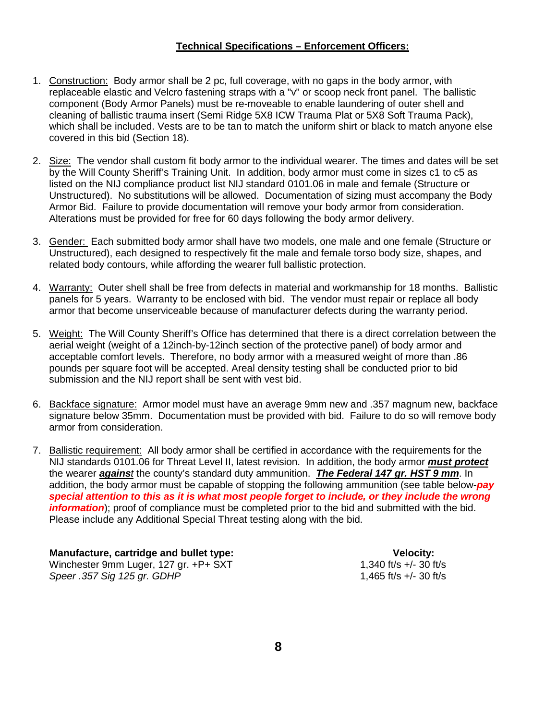#### **Technical Specifications – Enforcement Officers:**

- 1. Construction: Body armor shall be 2 pc, full coverage, with no gaps in the body armor, with replaceable elastic and Velcro fastening straps with a "v" or scoop neck front panel. The ballistic component (Body Armor Panels) must be re-moveable to enable laundering of outer shell and cleaning of ballistic trauma insert (Semi Ridge 5X8 ICW Trauma Plat or 5X8 Soft Trauma Pack), which shall be included. Vests are to be tan to match the uniform shirt or black to match anyone else covered in this bid (Section 18).
- 2. Size: The vendor shall custom fit body armor to the individual wearer. The times and dates will be set by the Will County Sheriff's Training Unit. In addition, body armor must come in sizes c1 to c5 as listed on the NIJ compliance product list NIJ standard 0101.06 in male and female (Structure or Unstructured). No substitutions will be allowed. Documentation of sizing must accompany the Body Armor Bid. Failure to provide documentation will remove your body armor from consideration. Alterations must be provided for free for 60 days following the body armor delivery.
- 3. Gender: Each submitted body armor shall have two models, one male and one female (Structure or Unstructured), each designed to respectively fit the male and female torso body size, shapes, and related body contours, while affording the wearer full ballistic protection.
- 4. Warranty: Outer shell shall be free from defects in material and workmanship for 18 months. Ballistic panels for 5 years. Warranty to be enclosed with bid. The vendor must repair or replace all body armor that become unserviceable because of manufacturer defects during the warranty period.
- 5. Weight: The Will County Sheriff's Office has determined that there is a direct correlation between the aerial weight (weight of a 12inch-by-12inch section of the protective panel) of body armor and acceptable comfort levels. Therefore, no body armor with a measured weight of more than .86 pounds per square foot will be accepted. Areal density testing shall be conducted prior to bid submission and the NIJ report shall be sent with vest bid.
- 6. Backface signature: Armor model must have an average 9mm new and .357 magnum new, backface signature below 35mm. Documentation must be provided with bid. Failure to do so will remove body armor from consideration.
- 7. Ballistic requirement: All body armor shall be certified in accordance with the requirements for the NIJ standards 0101.06 for Threat Level II, latest revision. In addition, the body armor *must protect* the wearer *against* the county's standard duty ammunition. *The Federal 147 gr. HST 9 mm*. In addition, the body armor must be capable of stopping the following ammunition (see table below-*pay special attention to this as it is what most people forget to include, or they include the wrong information*); proof of compliance must be completed prior to the bid and submitted with the bid. Please include any Additional Special Threat testing along with the bid.

 **Manufacture, cartridge and bullet type: Velocity:** Winchester 9mm Luger, 127 gr. +P+ SXT 1,340 ft/s +/- 30 ft/s<br>Speer .357 Sig 125 gr. GDHP 1.465 ft/s +/- 30 ft/s *Speer .357 Sig 125 ar. GDHP*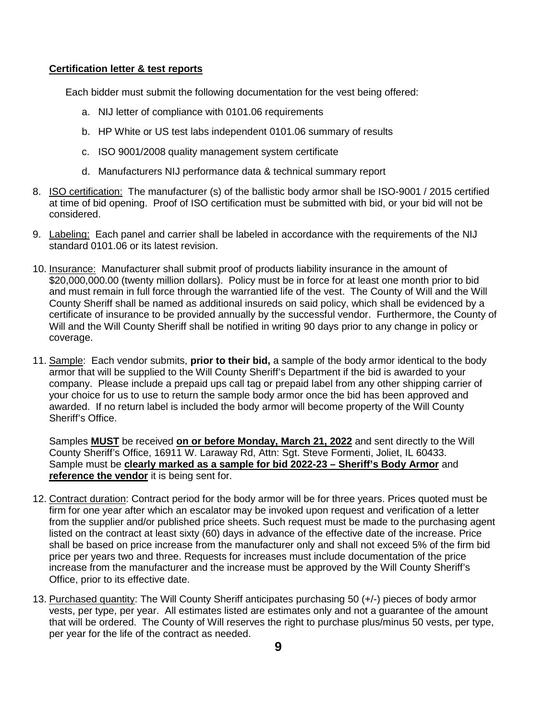#### **Certification letter & test reports**

Each bidder must submit the following documentation for the vest being offered:

- a. NIJ letter of compliance with 0101.06 requirements
- b. HP White or US test labs independent 0101.06 summary of results
- c. ISO 9001/2008 quality management system certificate
- d. Manufacturers NIJ performance data & technical summary report
- 8. ISO certification: The manufacturer (s) of the ballistic body armor shall be ISO-9001 / 2015 certified at time of bid opening. Proof of ISO certification must be submitted with bid, or your bid will not be considered.
- 9. Labeling: Each panel and carrier shall be labeled in accordance with the requirements of the NIJ standard 0101.06 or its latest revision.
- 10. Insurance: Manufacturer shall submit proof of products liability insurance in the amount of \$20,000,000.00 (twenty million dollars). Policy must be in force for at least one month prior to bid and must remain in full force through the warrantied life of the vest. The County of Will and the Will County Sheriff shall be named as additional insureds on said policy, which shall be evidenced by a certificate of insurance to be provided annually by the successful vendor. Furthermore, the County of Will and the Will County Sheriff shall be notified in writing 90 days prior to any change in policy or coverage.
- 11. Sample: Each vendor submits, **prior to their bid,** a sample of the body armor identical to the body armor that will be supplied to the Will County Sheriff's Department if the bid is awarded to your company. Please include a prepaid ups call tag or prepaid label from any other shipping carrier of your choice for us to use to return the sample body armor once the bid has been approved and awarded. If no return label is included the body armor will become property of the Will County Sheriff's Office.

Samples **MUST** be received **on or before Monday, March 21, 2022** and sent directly to the Will County Sheriff's Office, 16911 W. Laraway Rd, Attn: Sgt. Steve Formenti, Joliet, IL 60433. Sample must be **clearly marked as a sample for bid 2022-23 – Sheriff's Body Armor** and **reference the vendor** it is being sent for.

- 12. Contract duration: Contract period for the body armor will be for three years. Prices quoted must be firm for one year after which an escalator may be invoked upon request and verification of a letter from the supplier and/or published price sheets. Such request must be made to the purchasing agent listed on the contract at least sixty (60) days in advance of the effective date of the increase. Price shall be based on price increase from the manufacturer only and shall not exceed 5% of the firm bid price per years two and three. Requests for increases must include documentation of the price increase from the manufacturer and the increase must be approved by the Will County Sheriff's Office, prior to its effective date.
- 13. Purchased quantity: The Will County Sheriff anticipates purchasing 50 (+/-) pieces of body armor vests, per type, per year. All estimates listed are estimates only and not a guarantee of the amount that will be ordered. The County of Will reserves the right to purchase plus/minus 50 vests, per type, per year for the life of the contract as needed.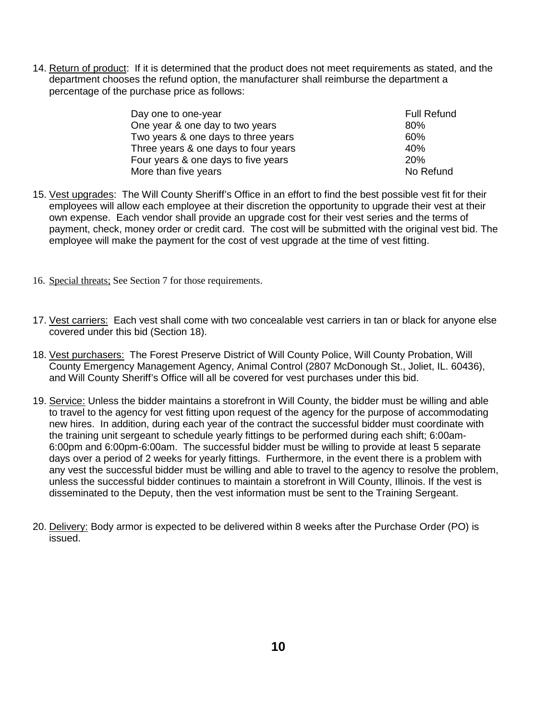14. Return of product: If it is determined that the product does not meet requirements as stated, and the department chooses the refund option, the manufacturer shall reimburse the department a percentage of the purchase price as follows:

| Day one to one-year                  | <b>Full Refund</b> |
|--------------------------------------|--------------------|
| One year & one day to two years      | 80%                |
| Two years & one days to three years  | 60%                |
| Three years & one days to four years | 40%                |
| Four years & one days to five years  | 20%                |
| More than five years                 | No Refund          |

- 15. Vest upgrades: The Will County Sheriff's Office in an effort to find the best possible vest fit for their employees will allow each employee at their discretion the opportunity to upgrade their vest at their own expense. Each vendor shall provide an upgrade cost for their vest series and the terms of payment, check, money order or credit card. The cost will be submitted with the original vest bid. The employee will make the payment for the cost of vest upgrade at the time of vest fitting.
- 16. Special threats; See Section 7 for those requirements.
- 17. Vest carriers: Each vest shall come with two concealable vest carriers in tan or black for anyone else covered under this bid (Section 18).
- 18. Vest purchasers: The Forest Preserve District of Will County Police, Will County Probation, Will County Emergency Management Agency, Animal Control (2807 McDonough St., Joliet, IL. 60436), and Will County Sheriff's Office will all be covered for vest purchases under this bid.
- 19. Service: Unless the bidder maintains a storefront in Will County, the bidder must be willing and able to travel to the agency for vest fitting upon request of the agency for the purpose of accommodating new hires. In addition, during each year of the contract the successful bidder must coordinate with the training unit sergeant to schedule yearly fittings to be performed during each shift; 6:00am-6:00pm and 6:00pm-6:00am. The successful bidder must be willing to provide at least 5 separate days over a period of 2 weeks for yearly fittings. Furthermore, in the event there is a problem with any vest the successful bidder must be willing and able to travel to the agency to resolve the problem, unless the successful bidder continues to maintain a storefront in Will County, Illinois. If the vest is disseminated to the Deputy, then the vest information must be sent to the Training Sergeant.
- 20. Delivery: Body armor is expected to be delivered within 8 weeks after the Purchase Order (PO) is issued.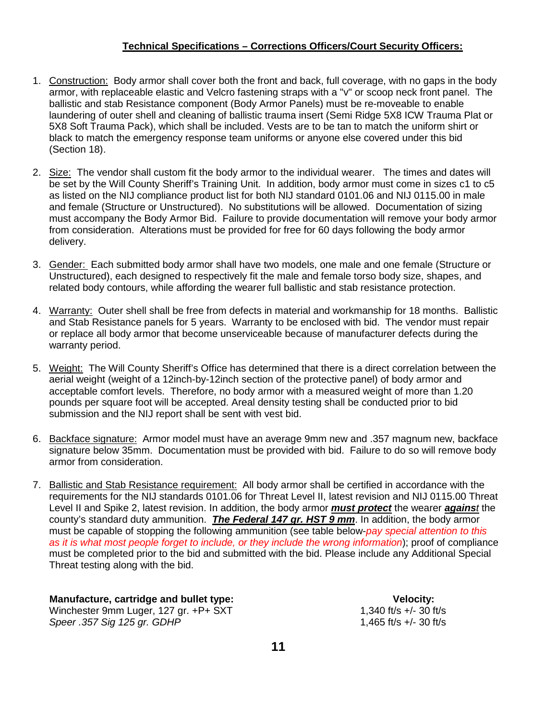## **Technical Specifications – Corrections Officers/Court Security Officers:**

- 1. Construction: Body armor shall cover both the front and back, full coverage, with no gaps in the body armor, with replaceable elastic and Velcro fastening straps with a "v" or scoop neck front panel. The ballistic and stab Resistance component (Body Armor Panels) must be re-moveable to enable laundering of outer shell and cleaning of ballistic trauma insert (Semi Ridge 5X8 ICW Trauma Plat or 5X8 Soft Trauma Pack), which shall be included. Vests are to be tan to match the uniform shirt or black to match the emergency response team uniforms or anyone else covered under this bid (Section 18).
- 2. Size: The vendor shall custom fit the body armor to the individual wearer. The times and dates will be set by the Will County Sheriff's Training Unit. In addition, body armor must come in sizes c1 to c5 as listed on the NIJ compliance product list for both NIJ standard 0101.06 and NIJ 0115.00 in male and female (Structure or Unstructured). No substitutions will be allowed. Documentation of sizing must accompany the Body Armor Bid. Failure to provide documentation will remove your body armor from consideration. Alterations must be provided for free for 60 days following the body armor delivery.
- 3. Gender: Each submitted body armor shall have two models, one male and one female (Structure or Unstructured), each designed to respectively fit the male and female torso body size, shapes, and related body contours, while affording the wearer full ballistic and stab resistance protection.
- 4. Warranty: Outer shell shall be free from defects in material and workmanship for 18 months. Ballistic and Stab Resistance panels for 5 years. Warranty to be enclosed with bid. The vendor must repair or replace all body armor that become unserviceable because of manufacturer defects during the warranty period.
- 5. Weight: The Will County Sheriff's Office has determined that there is a direct correlation between the aerial weight (weight of a 12inch-by-12inch section of the protective panel) of body armor and acceptable comfort levels. Therefore, no body armor with a measured weight of more than 1.20 pounds per square foot will be accepted. Areal density testing shall be conducted prior to bid submission and the NIJ report shall be sent with vest bid.
- 6. Backface signature: Armor model must have an average 9mm new and .357 magnum new, backface signature below 35mm. Documentation must be provided with bid. Failure to do so will remove body armor from consideration.
- 7. Ballistic and Stab Resistance requirement: All body armor shall be certified in accordance with the requirements for the NIJ standards 0101.06 for Threat Level II, latest revision and NIJ 0115.00 Threat Level II and Spike 2, latest revision. In addition, the body armor *must protect* the wearer *against* the county's standard duty ammunition. *The Federal 147 gr. HST 9 mm*. In addition, the body armor must be capable of stopping the following ammunition (see table below-*pay special attention to this as it is what most people forget to include, or they include the wrong information*); proof of compliance must be completed prior to the bid and submitted with the bid. Please include any Additional Special Threat testing along with the bid.

 **Manufacture, cartridge and bullet type: Velocity:**

Winchester 9mm Luger, 127 gr. +P+ SXT *Speer .357 Sig 125 gr. GDHP* 1,465 ft/s +/- 30 ft/s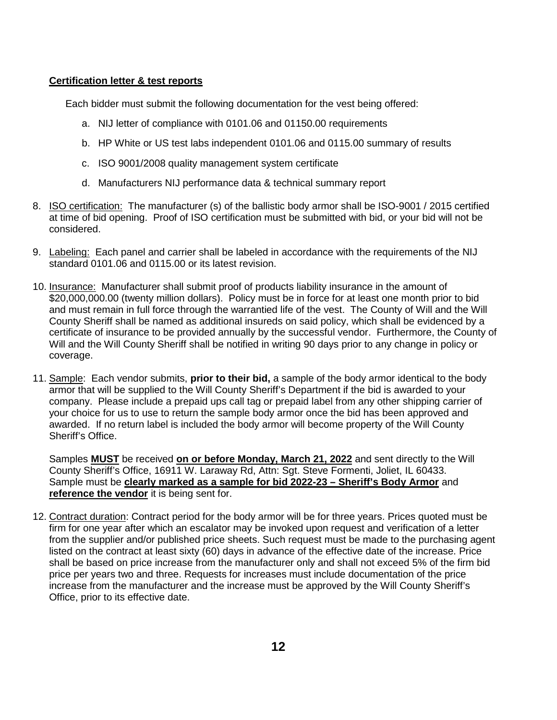#### **Certification letter & test reports**

Each bidder must submit the following documentation for the vest being offered:

- a. NIJ letter of compliance with 0101.06 and 01150.00 requirements
- b. HP White or US test labs independent 0101.06 and 0115.00 summary of results
- c. ISO 9001/2008 quality management system certificate
- d. Manufacturers NIJ performance data & technical summary report
- 8. ISO certification: The manufacturer (s) of the ballistic body armor shall be ISO-9001 / 2015 certified at time of bid opening. Proof of ISO certification must be submitted with bid, or your bid will not be considered.
- 9. Labeling: Each panel and carrier shall be labeled in accordance with the requirements of the NIJ standard 0101.06 and 0115.00 or its latest revision.
- 10. Insurance: Manufacturer shall submit proof of products liability insurance in the amount of \$20,000,000.00 (twenty million dollars). Policy must be in force for at least one month prior to bid and must remain in full force through the warrantied life of the vest. The County of Will and the Will County Sheriff shall be named as additional insureds on said policy, which shall be evidenced by a certificate of insurance to be provided annually by the successful vendor. Furthermore, the County of Will and the Will County Sheriff shall be notified in writing 90 days prior to any change in policy or coverage.
- 11. Sample: Each vendor submits, **prior to their bid,** a sample of the body armor identical to the body armor that will be supplied to the Will County Sheriff's Department if the bid is awarded to your company. Please include a prepaid ups call tag or prepaid label from any other shipping carrier of your choice for us to use to return the sample body armor once the bid has been approved and awarded. If no return label is included the body armor will become property of the Will County Sheriff's Office.

Samples **MUST** be received **on or before Monday, March 21, 2022** and sent directly to the Will County Sheriff's Office, 16911 W. Laraway Rd, Attn: Sgt. Steve Formenti, Joliet, IL 60433. Sample must be **clearly marked as a sample for bid 2022-23 – Sheriff's Body Armor** and **reference the vendor** it is being sent for.

12. Contract duration: Contract period for the body armor will be for three years. Prices quoted must be firm for one year after which an escalator may be invoked upon request and verification of a letter from the supplier and/or published price sheets. Such request must be made to the purchasing agent listed on the contract at least sixty (60) days in advance of the effective date of the increase. Price shall be based on price increase from the manufacturer only and shall not exceed 5% of the firm bid price per years two and three. Requests for increases must include documentation of the price increase from the manufacturer and the increase must be approved by the Will County Sheriff's Office, prior to its effective date.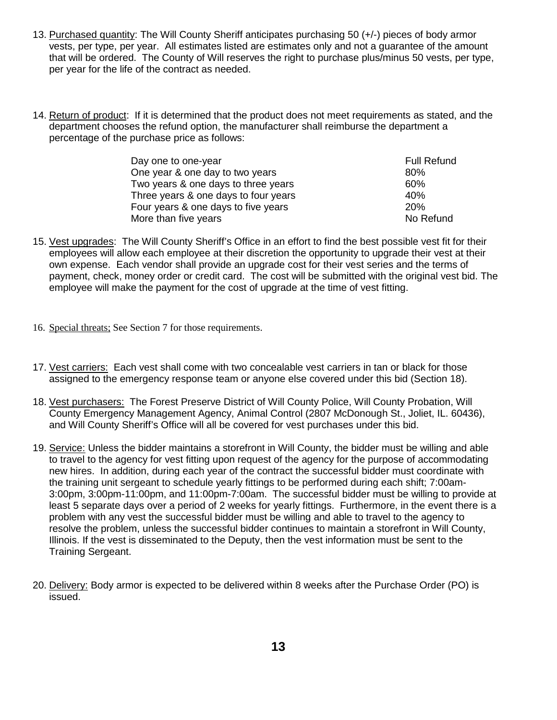- 13. Purchased quantity: The Will County Sheriff anticipates purchasing 50 (+/-) pieces of body armor vests, per type, per year. All estimates listed are estimates only and not a guarantee of the amount that will be ordered. The County of Will reserves the right to purchase plus/minus 50 vests, per type, per year for the life of the contract as needed.
- 14. Return of product: If it is determined that the product does not meet requirements as stated, and the department chooses the refund option, the manufacturer shall reimburse the department a percentage of the purchase price as follows:

| Day one to one-year                  | <b>Full Refund</b> |
|--------------------------------------|--------------------|
| One year & one day to two years      | 80%                |
| Two years & one days to three years  | 60%                |
| Three years & one days to four years | 40%                |
| Four years & one days to five years  | 20%                |
| More than five years                 | No Refund          |

- 15. Vest upgrades: The Will County Sheriff's Office in an effort to find the best possible vest fit for their employees will allow each employee at their discretion the opportunity to upgrade their vest at their own expense. Each vendor shall provide an upgrade cost for their vest series and the terms of payment, check, money order or credit card. The cost will be submitted with the original vest bid. The employee will make the payment for the cost of upgrade at the time of vest fitting.
- 16. Special threats; See Section 7 for those requirements.
- 17. Vest carriers: Each vest shall come with two concealable vest carriers in tan or black for those assigned to the emergency response team or anyone else covered under this bid (Section 18).
- 18. Vest purchasers: The Forest Preserve District of Will County Police, Will County Probation, Will County Emergency Management Agency, Animal Control (2807 McDonough St., Joliet, IL. 60436), and Will County Sheriff's Office will all be covered for vest purchases under this bid.
- 19. Service: Unless the bidder maintains a storefront in Will County, the bidder must be willing and able to travel to the agency for vest fitting upon request of the agency for the purpose of accommodating new hires. In addition, during each year of the contract the successful bidder must coordinate with the training unit sergeant to schedule yearly fittings to be performed during each shift; 7:00am-3:00pm, 3:00pm-11:00pm, and 11:00pm-7:00am. The successful bidder must be willing to provide at least 5 separate days over a period of 2 weeks for yearly fittings. Furthermore, in the event there is a problem with any vest the successful bidder must be willing and able to travel to the agency to resolve the problem, unless the successful bidder continues to maintain a storefront in Will County, Illinois. If the vest is disseminated to the Deputy, then the vest information must be sent to the Training Sergeant.
- 20. Delivery: Body armor is expected to be delivered within 8 weeks after the Purchase Order (PO) is issued.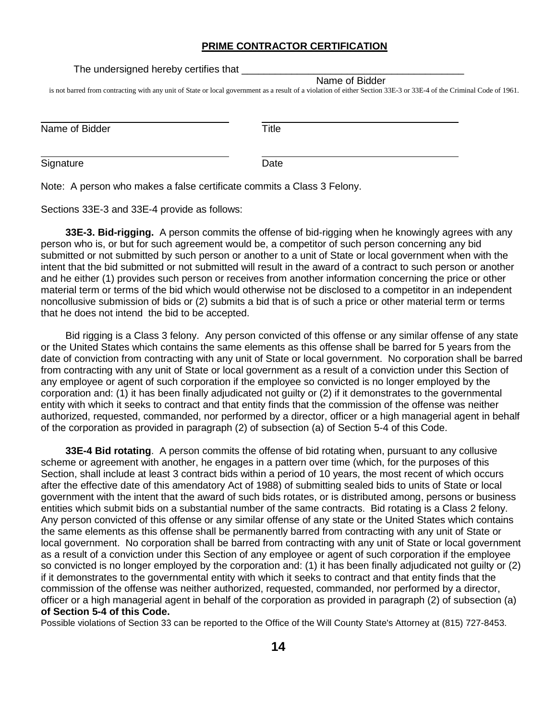#### **PRIME CONTRACTOR CERTIFICATION**

The undersigned hereby certifies that

Name of Bidder

is not barred from contracting with any unit of State or local government as a result of a violation of either Section 33E-3 or 33E-4 of the Criminal Code of 1961.

| Name of Bidder | Title |
|----------------|-------|
| Signature      | Date  |

Note: A person who makes a false certificate commits a Class 3 Felony.

Sections 33E-3 and 33E-4 provide as follows:

**33E-3. Bid-rigging.** A person commits the offense of bid-rigging when he knowingly agrees with any person who is, or but for such agreement would be, a competitor of such person concerning any bid submitted or not submitted by such person or another to a unit of State or local government when with the intent that the bid submitted or not submitted will result in the award of a contract to such person or another and he either (1) provides such person or receives from another information concerning the price or other material term or terms of the bid which would otherwise not be disclosed to a competitor in an independent noncollusive submission of bids or (2) submits a bid that is of such a price or other material term or terms that he does not intend the bid to be accepted.

Bid rigging is a Class 3 felony. Any person convicted of this offense or any similar offense of any state or the United States which contains the same elements as this offense shall be barred for 5 years from the date of conviction from contracting with any unit of State or local government. No corporation shall be barred from contracting with any unit of State or local government as a result of a conviction under this Section of any employee or agent of such corporation if the employee so convicted is no longer employed by the corporation and: (1) it has been finally adjudicated not guilty or (2) if it demonstrates to the governmental entity with which it seeks to contract and that entity finds that the commission of the offense was neither authorized, requested, commanded, nor performed by a director, officer or a high managerial agent in behalf of the corporation as provided in paragraph (2) of subsection (a) of Section 5-4 of this Code.

**33E-4 Bid rotating**. A person commits the offense of bid rotating when, pursuant to any collusive scheme or agreement with another, he engages in a pattern over time (which, for the purposes of this Section, shall include at least 3 contract bids within a period of 10 years, the most recent of which occurs after the effective date of this amendatory Act of 1988) of submitting sealed bids to units of State or local government with the intent that the award of such bids rotates, or is distributed among, persons or business entities which submit bids on a substantial number of the same contracts. Bid rotating is a Class 2 felony. Any person convicted of this offense or any similar offense of any state or the United States which contains the same elements as this offense shall be permanently barred from contracting with any unit of State or local government. No corporation shall be barred from contracting with any unit of State or local government as a result of a conviction under this Section of any employee or agent of such corporation if the employee so convicted is no longer employed by the corporation and: (1) it has been finally adjudicated not guilty or (2) if it demonstrates to the governmental entity with which it seeks to contract and that entity finds that the commission of the offense was neither authorized, requested, commanded, nor performed by a director, officer or a high managerial agent in behalf of the corporation as provided in paragraph (2) of subsection (a) **of Section 5-4 of this Code.** 

Possible violations of Section 33 can be reported to the Office of the Will County State's Attorney at (815) 727-8453.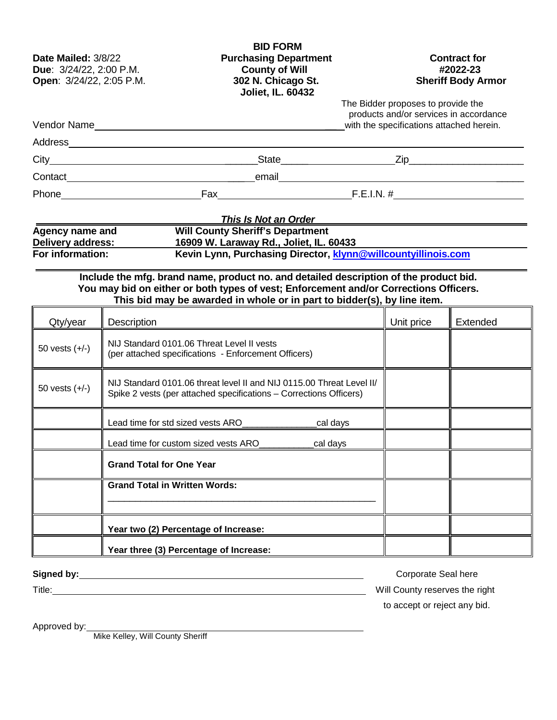| Date Mailed: 3/8/22<br>Due: 3/24/22, 2:00 P.M.<br>Open: 3/24/22, 2:05 P.M. |                                      | <b>BID FORM</b><br><b>Purchasing Department</b><br><b>County of Will</b><br>302 N. Chicago St.<br>Joliet, IL. 60432                                                                                                                                       |          |                                                                                | <b>Contract for</b><br>#2022-23<br><b>Sheriff Body Armor</b> |
|----------------------------------------------------------------------------|--------------------------------------|-----------------------------------------------------------------------------------------------------------------------------------------------------------------------------------------------------------------------------------------------------------|----------|--------------------------------------------------------------------------------|--------------------------------------------------------------|
|                                                                            |                                      |                                                                                                                                                                                                                                                           |          | The Bidder proposes to provide the<br>with the specifications attached herein. | products and/or services in accordance                       |
|                                                                            |                                      | Address <b>Management Community and Community</b> and Community and Community and Community and Community and Community                                                                                                                                   |          |                                                                                |                                                              |
|                                                                            |                                      |                                                                                                                                                                                                                                                           |          |                                                                                |                                                              |
|                                                                            |                                      |                                                                                                                                                                                                                                                           |          |                                                                                |                                                              |
|                                                                            |                                      |                                                                                                                                                                                                                                                           |          |                                                                                |                                                              |
| <b>Agency name and</b><br>Delivery address:<br>For information:            |                                      | <b>This Is Not an Order</b><br><b>Will County Sheriff's Department</b><br>16909 W. Laraway Rd., Joliet, IL. 60433<br>Kevin Lynn, Purchasing Director, klynn@willcountyillinois.com                                                                        |          |                                                                                |                                                              |
|                                                                            |                                      | Include the mfg. brand name, product no. and detailed description of the product bid.<br>You may bid on either or both types of vest; Enforcement and/or Corrections Officers.<br>This bid may be awarded in whole or in part to bidder(s), by line item. |          |                                                                                |                                                              |
| Qty/year                                                                   | Description                          |                                                                                                                                                                                                                                                           |          | Unit price                                                                     | Extended                                                     |
| 50 vests $(+/-)$                                                           |                                      | NIJ Standard 0101.06 Threat Level II vests<br>(per attached specifications - Enforcement Officers)                                                                                                                                                        |          |                                                                                |                                                              |
| 50 vests $(+/-)$                                                           |                                      | NIJ Standard 0101.06 threat level II and NIJ 0115.00 Threat Level II/<br>Spike 2 vests (per attached specifications - Corrections Officers)                                                                                                               |          |                                                                                |                                                              |
|                                                                            |                                      | Lead time for std sized vests ARO                                                                                                                                                                                                                         | cal days |                                                                                |                                                              |
|                                                                            |                                      | Lead time for custom sized vests ARO                                                                                                                                                                                                                      | cal days |                                                                                |                                                              |
|                                                                            | <b>Grand Total for One Year</b>      |                                                                                                                                                                                                                                                           |          |                                                                                |                                                              |
|                                                                            | <b>Grand Total in Written Words:</b> |                                                                                                                                                                                                                                                           |          |                                                                                |                                                              |
|                                                                            |                                      |                                                                                                                                                                                                                                                           |          |                                                                                |                                                              |
|                                                                            |                                      | Year two (2) Percentage of Increase:                                                                                                                                                                                                                      |          |                                                                                |                                                              |
|                                                                            |                                      | Year three (3) Percentage of Increase:                                                                                                                                                                                                                    |          |                                                                                |                                                              |

Signed by: <u>Corporate Seal here</u> Corporate Seal here Corporate Seal here Corporate Seal here Title: Will County reserves the right to accept or reject any bid.

Approved by:

Mike Kelley, Will County Sheriff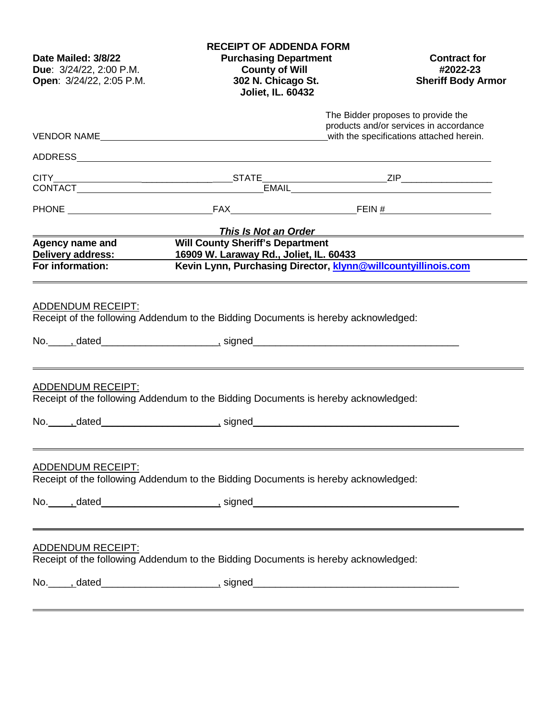| Date Mailed: 3/8/22<br>Due: 3/24/22, 2:00 P.M.<br>Open: 3/24/22, 2:05 P.M. | <b>RECEIPT OF ADDENDA FORM</b><br><b>Purchasing Department</b><br><b>County of Will</b><br>302 N. Chicago St.<br><b>Joliet, IL. 60432</b>                                                                                            | <b>Contract for</b><br>#2022-23<br><b>Sheriff Body Armor</b>                                                             |
|----------------------------------------------------------------------------|--------------------------------------------------------------------------------------------------------------------------------------------------------------------------------------------------------------------------------------|--------------------------------------------------------------------------------------------------------------------------|
|                                                                            |                                                                                                                                                                                                                                      | The Bidder proposes to provide the<br>products and/or services in accordance<br>with the specifications attached herein. |
|                                                                            |                                                                                                                                                                                                                                      |                                                                                                                          |
|                                                                            |                                                                                                                                                                                                                                      |                                                                                                                          |
|                                                                            | CONTACT EMAIL EMAIL                                                                                                                                                                                                                  |                                                                                                                          |
|                                                                            |                                                                                                                                                                                                                                      |                                                                                                                          |
|                                                                            | This Is Not an Order <b>Constanting Constanting Constanting Constanting Constanting Constanting Constanting Constanting Constanting Constanting Constanting Constanting Constanting Constanting Constanting Constanting Constant</b> |                                                                                                                          |
| Agency name and                                                            | <b>Will County Sheriff's Department</b><br>Delivery address: 16909 W. Laraway Rd., Joliet, IL. 60433                                                                                                                                 |                                                                                                                          |
| For information:                                                           | Kevin Lynn, Purchasing Director, klynn@willcountyillinois.com                                                                                                                                                                        |                                                                                                                          |
| <b>ADDENDUM RECEIPT:</b>                                                   | Receipt of the following Addendum to the Bidding Documents is hereby acknowledged:                                                                                                                                                   |                                                                                                                          |
| <b>ADDENDUM RECEIPT:</b>                                                   | Receipt of the following Addendum to the Bidding Documents is hereby acknowledged:                                                                                                                                                   |                                                                                                                          |
|                                                                            |                                                                                                                                                                                                                                      |                                                                                                                          |
| <b>ADDENDUM RECEIPT:</b>                                                   | Receipt of the following Addendum to the Bidding Documents is hereby acknowledged:                                                                                                                                                   |                                                                                                                          |
| <b>ADDENDUM RECEIPT:</b>                                                   | Receipt of the following Addendum to the Bidding Documents is hereby acknowledged:                                                                                                                                                   |                                                                                                                          |
|                                                                            | No. _____, dated___________________________, signed______________________________                                                                                                                                                    |                                                                                                                          |